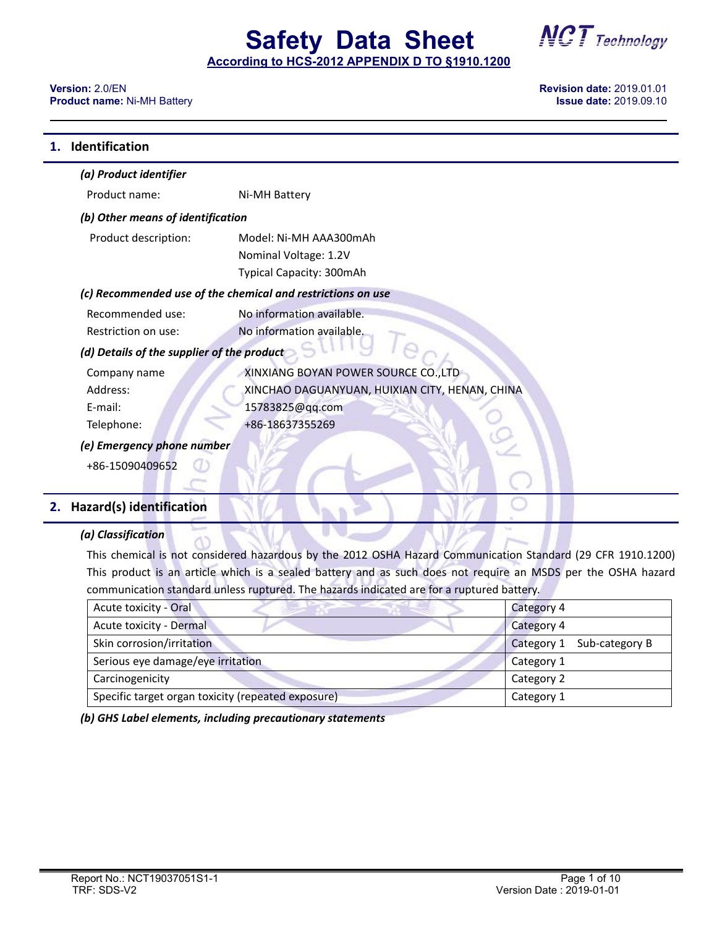## **Safety Data Sheet**

**According to HCS-2012 APPENDIX D TO §1910.1200**

#### **Version:** 2.0/EN **Revision date:** 2019.01.01 **Product name: Ni-MH Battery**

| Identification                             |                                                             |
|--------------------------------------------|-------------------------------------------------------------|
| (a) Product identifier                     |                                                             |
| Product name:                              | Ni-MH Battery                                               |
| (b) Other means of identification          |                                                             |
| Product description:                       | Model: Ni-MH AAA300mAh                                      |
|                                            | Nominal Voltage: 1.2V                                       |
|                                            | Typical Capacity: 300mAh                                    |
|                                            | (c) Recommended use of the chemical and restrictions on use |
| Recommended use:                           | No information available.                                   |
| Restriction on use:                        | No information available.                                   |
| (d) Details of the supplier of the product |                                                             |
| Company name                               | XINXIANG BOYAN POWER SOURCE CO., LTD                        |
| Address:                                   | XINCHAO DAGUANYUAN, HUIXIAN CITY, HENAN, CHINA              |
| E-mail:                                    | 15783825@qq.com                                             |
| Telephone:                                 | +86-18637355269                                             |
| (e) Emergency phone number                 |                                                             |
| +86-15090409652                            |                                                             |
|                                            |                                                             |

### **2. Hazard(s) identification**

#### *(a) Classification*

This chemical is not considered hazardous by the 2012 OSHA Hazard Communication Standard (29 CFR 1910.1200) This product is an article which is a sealed battery and as such does not require an MSDS per the OSHA hazard communication standard unless ruptured. The hazards indicated are for a ruptured battery.

| Acute toxicity - Oral                              | Category 4                   |
|----------------------------------------------------|------------------------------|
| Acute toxicity - Dermal                            | Category 4                   |
| Skin corrosion/irritation                          | Sub-category B<br>Category 1 |
| Serious eye damage/eye irritation                  | Category 1                   |
| Carcinogenicity                                    | Category 2                   |
| Specific target organ toxicity (repeated exposure) | Category 1                   |

*(b) GHS Label elements, including precautionary statements*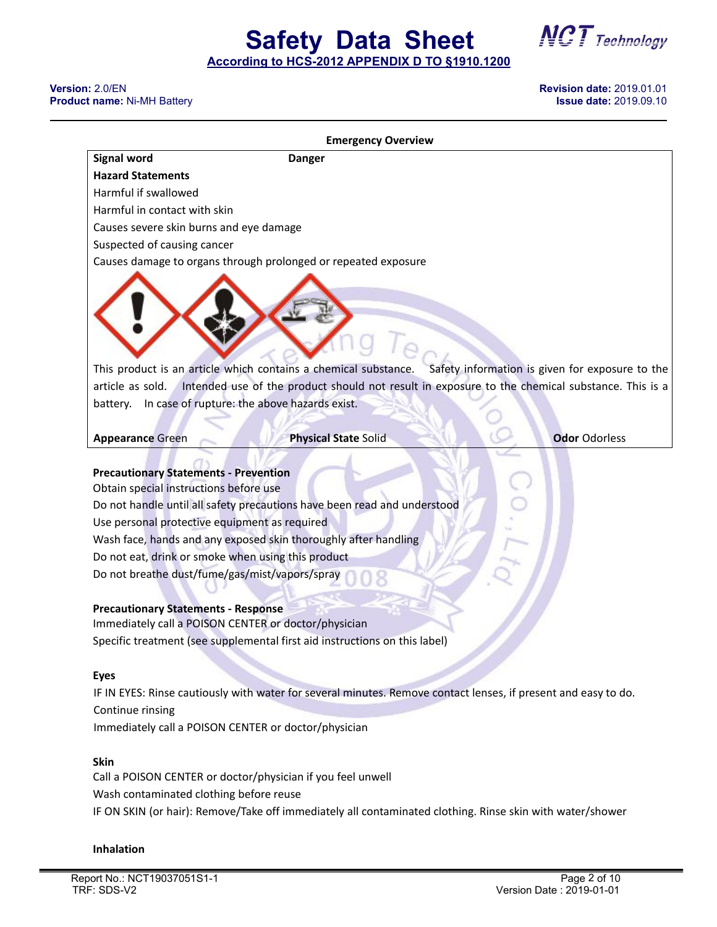**Safety Data Sheet**

#### **Version:** 2.0/EN **Revision date:** 2019.01.01 **Product name: Ni-MH Battery**

| <b>Signal word</b>                                                                                                                                                                                                                                                                                                                                    | <b>Danger</b>                                                                                                                                                                                                             |                                                                                                                 |
|-------------------------------------------------------------------------------------------------------------------------------------------------------------------------------------------------------------------------------------------------------------------------------------------------------------------------------------------------------|---------------------------------------------------------------------------------------------------------------------------------------------------------------------------------------------------------------------------|-----------------------------------------------------------------------------------------------------------------|
| <b>Hazard Statements</b>                                                                                                                                                                                                                                                                                                                              |                                                                                                                                                                                                                           |                                                                                                                 |
| Harmful if swallowed                                                                                                                                                                                                                                                                                                                                  |                                                                                                                                                                                                                           |                                                                                                                 |
| Harmful in contact with skin                                                                                                                                                                                                                                                                                                                          |                                                                                                                                                                                                                           |                                                                                                                 |
| Causes severe skin burns and eye damage                                                                                                                                                                                                                                                                                                               |                                                                                                                                                                                                                           |                                                                                                                 |
| Suspected of causing cancer                                                                                                                                                                                                                                                                                                                           |                                                                                                                                                                                                                           |                                                                                                                 |
|                                                                                                                                                                                                                                                                                                                                                       | Causes damage to organs through prolonged or repeated exposure                                                                                                                                                            |                                                                                                                 |
|                                                                                                                                                                                                                                                                                                                                                       | This product is an article which contains a chemical substance.                                                                                                                                                           | Safety information is given for exposure to the                                                                 |
|                                                                                                                                                                                                                                                                                                                                                       |                                                                                                                                                                                                                           | article as sold. Intended use of the product should not result in exposure to the chemical substance. This is a |
| battery. In case of rupture: the above hazards exist.                                                                                                                                                                                                                                                                                                 |                                                                                                                                                                                                                           |                                                                                                                 |
|                                                                                                                                                                                                                                                                                                                                                       |                                                                                                                                                                                                                           |                                                                                                                 |
| <b>Appearance Green</b>                                                                                                                                                                                                                                                                                                                               | <b>Physical State Solid</b>                                                                                                                                                                                               | <b>Odor Odorless</b>                                                                                            |
| <b>Precautionary Statements - Prevention</b><br>Obtain special instructions before use<br>Use personal protective equipment as required<br>Do not eat, drink or smoke when using this product<br>Do not breathe dust/fume/gas/mist/vapors/spray<br><b>Precautionary Statements - Response</b><br>Immediately call a POISON CENTER or doctor/physician | Do not handle until all safety precautions have been read and understood<br>Wash face, hands and any exposed skin thoroughly after handling<br>Specific treatment (see supplemental first aid instructions on this label) |                                                                                                                 |
|                                                                                                                                                                                                                                                                                                                                                       |                                                                                                                                                                                                                           |                                                                                                                 |
| <b>Eyes</b>                                                                                                                                                                                                                                                                                                                                           |                                                                                                                                                                                                                           |                                                                                                                 |
|                                                                                                                                                                                                                                                                                                                                                       | IF IN EYES: Rinse cautiously with water for several minutes. Remove contact lenses, if present and easy to do.                                                                                                            |                                                                                                                 |
| Continue rinsing                                                                                                                                                                                                                                                                                                                                      |                                                                                                                                                                                                                           |                                                                                                                 |
| Immediately call a POISON CENTER or doctor/physician                                                                                                                                                                                                                                                                                                  |                                                                                                                                                                                                                           |                                                                                                                 |
| <b>Skin</b>                                                                                                                                                                                                                                                                                                                                           |                                                                                                                                                                                                                           |                                                                                                                 |

Call a POISON CENTER or doctor/physician if you feel unwell Wash contaminated clothing before reuse IF ON SKIN (or hair): Remove/Take off immediately all contaminated clothing. Rinse skin with water/shower

#### **Inhalation**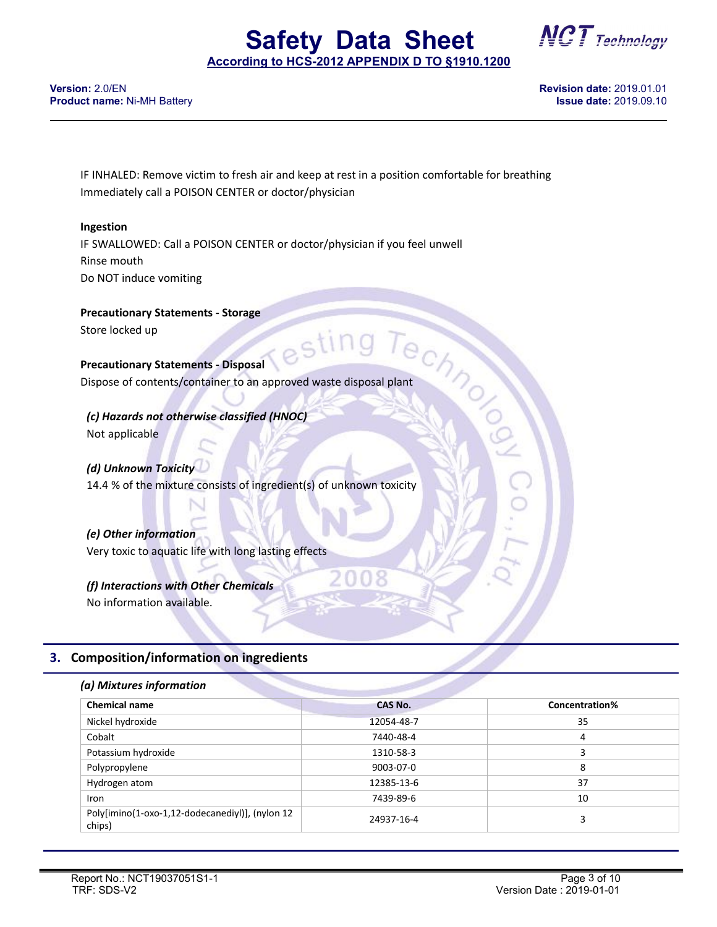

**Version:** 2.0/EN **Revision date:** 2019.01.01 **Product name: Ni-MH Battery** 

IF INHALED: Remove victim to fresh air and keep at rest in a position comfortable for breathing Immediately call a POISON CENTER or doctor/physician

#### **Ingestion**

IF SWALLOWED: Call a POISON CENTER or doctor/physician if you feel unwell Rinse mouth Do NOT induce vomiting

**Precautionary Statements - Storage**

Store locked up

**Precautionary Statements - Disposal**

Store locked up<br>
Precautionary Statements - Disposal<br>
Dispose of contents/container to an approved waste disposal plant<br>
Trecified (HNOC) *(c) Hazards not otherwise classified (HNOC)* Not applicable

*(d) Unknown Toxicity* 14.4 % of the mixture consists of ingredient(s) of unknown toxicity

*(e) Other information* Very toxic to aquatic life with long lasting effects

*(f) Interactions with Other Chemicals* No information available.

#### **3. Composition/information on ingredients**

#### *(a) Mixtures information*

| <b>Chemical name</b>                                      | <b>CAS No.</b> | Concentration% |
|-----------------------------------------------------------|----------------|----------------|
| Nickel hydroxide                                          | 12054-48-7     | 35             |
| Cobalt                                                    | 7440-48-4      | 4              |
| Potassium hydroxide                                       | 1310-58-3      |                |
| Polypropylene                                             | 9003-07-0      | 8              |
| Hydrogen atom                                             | 12385-13-6     | 37             |
| <b>Iron</b>                                               | 7439-89-6      | 10             |
| Poly[imino(1-oxo-1,12-dodecanediyl)], (nylon 12<br>chips) | 24937-16-4     |                |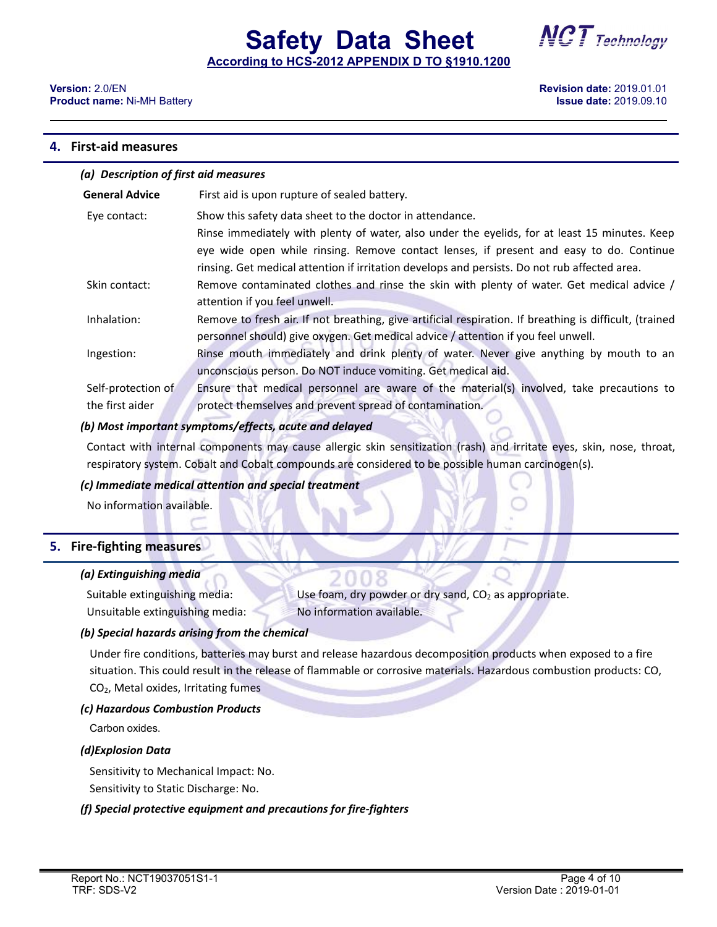

#### **4. First-aid measures**

| (a) Description of first aid measures |                                                                                                                                                                                                                                                                                                                                                       |  |
|---------------------------------------|-------------------------------------------------------------------------------------------------------------------------------------------------------------------------------------------------------------------------------------------------------------------------------------------------------------------------------------------------------|--|
| <b>General Advice</b>                 | First aid is upon rupture of sealed battery.                                                                                                                                                                                                                                                                                                          |  |
| Eye contact:                          | Show this safety data sheet to the doctor in attendance.<br>Rinse immediately with plenty of water, also under the eyelids, for at least 15 minutes. Keep<br>eye wide open while rinsing. Remove contact lenses, if present and easy to do. Continue<br>rinsing. Get medical attention if irritation develops and persists. Do not rub affected area. |  |
| Skin contact:                         | Remove contaminated clothes and rinse the skin with plenty of water. Get medical advice /<br>attention if you feel unwell.                                                                                                                                                                                                                            |  |
| Inhalation:                           | Remove to fresh air. If not breathing, give artificial respiration. If breathing is difficult, (trained<br>personnel should) give oxygen. Get medical advice / attention if you feel unwell.                                                                                                                                                          |  |
| Ingestion:                            | Rinse mouth immediately and drink plenty of water. Never give anything by mouth to an<br>unconscious person. Do NOT induce vomiting. Get medical aid.                                                                                                                                                                                                 |  |
| Self-protection of                    | Ensure that medical personnel are aware of the material(s) involved, take precautions to                                                                                                                                                                                                                                                              |  |
| the first aider                       | protect themselves and prevent spread of contamination.                                                                                                                                                                                                                                                                                               |  |

#### *(b) Most important symptoms/effects, acute and delayed*

Contact with internal components may cause allergic skin sensitization (rash) and irritate eyes, skin, nose, throat, respiratory system. Cobalt and Cobalt compounds are considered to be possible human carcinogen(s).

#### *(c) Immediate medical attention and special treatment*

No information available.

#### **5. Fire-fighting measures**

#### *(a) Extinguishing media*

Suitable extinguishing media: Use foam, dry powder or dry sand,  $CO<sub>2</sub>$  as appropriate. Unsuitable extinguishing media: No information available.

#### *(b) Special hazards arising from the chemical*

Under fire conditions, batteries may burst and release hazardous decomposition products when exposed to a fire situation. This could result in the release of flammable or corrosive materials. Hazardous combustion products: CO, CO2, Metal oxides, Irritating fumes

#### *(c) Hazardous Combustion Products*

Carbon oxides.

#### *(d)Explosion Data*

Sensitivity to Mechanical Impact: No.

Sensitivity to Static Discharge: No.

#### *(f) Special protective equipment and precautions for fire-fighters*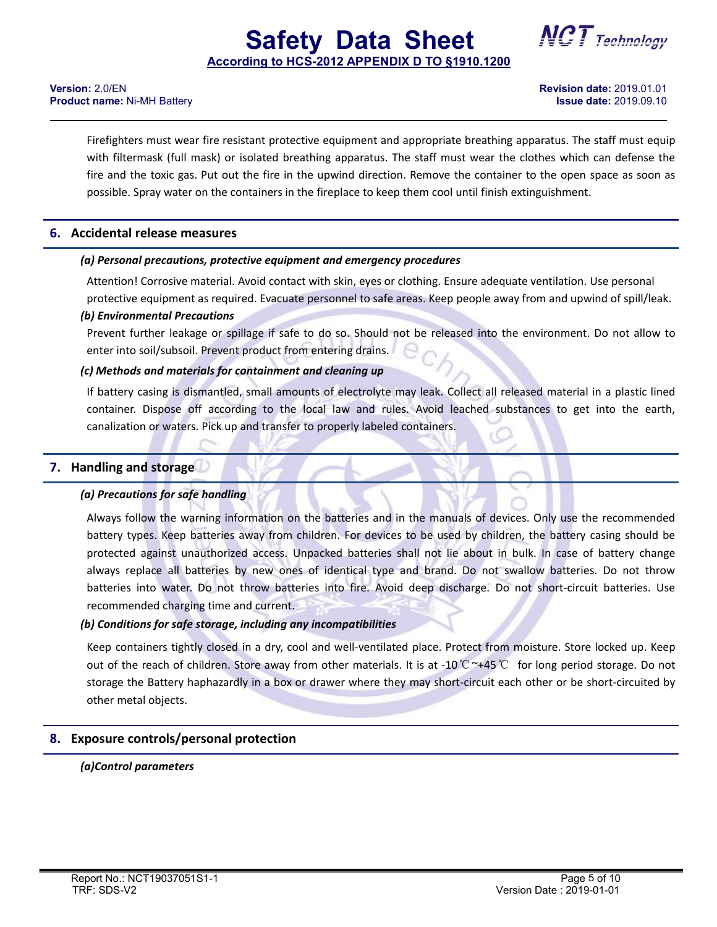## **Safety Data Sheet According to HCS-2012 APPENDIX D TO §1910.1200**



**Version:** 2.0/EN **Revision date:** 2019.01.01 **Product name: Ni-MH Battery** 

Firefighters must wear fire resistant protective equipment and appropriate breathing apparatus. The staff must equip with filtermask (full mask) or isolated breathing apparatus. The staff must wear the clothes which can defense the fire and the toxic gas. Put out the fire in the upwind direction. Remove the container to the open space as soon as possible. Spray water on the containers in the fireplace to keep them cool until finish extinguishment.

#### **6. Accidental release measures**

#### *(a) Personal precautions, protective equipment and emergency procedures*

Attention! Corrosive material. Avoid contact with skin, eyes or clothing. Ensure adequate ventilation. Use personal protective equipment as required. Evacuate personnel to safe areas. Keep people away from and upwind of spill/leak.

#### *(b) Environmental Precautions*

Prevent further leakage or spillage if safe to do so. Should not be released into the environment. Do not allow to enter into soil/subsoil. Prevent product from entering drains.

#### *(c) Methods and materials for containment and cleaning up*

If battery casing is dismantled, small amounts of electrolyte may leak. Collect all released material in a plastic lined container. Dispose off according to the local law and rules. Avoid leached substances to get into the earth, canalization or waters. Pick up and transfer to properly labeled containers.

#### **7. Handling and storage**

#### *(a) Precautions for safe handling*

Always follow the warning information on the batteries and in the manuals of devices. Only use the recommended battery types. Keep batteries away from children. For devices to be used by children, the battery casing should be protected against unauthorized access. Unpacked batteries shall not lie about in bulk. In case of battery change always replace all batteries by new ones of identical type and brand. Do not swallow batteries. Do not throw batteries into water. Do not throw batteries into fire. Avoid deep discharge. Do not short-circuit batteries. Use recommended charging time and current.

#### *(b) Conditions for safe storage, including any incompatibilities*

Keep containers tightly closed in a dry, cooland well-ventilated place. Protect from moisture. Store locked up. Keep out of the reach of children. Store away from other materials. It is at -10℃~+45℃ for long period storage. Do not storage the Battery haphazardly in a box or drawer where they may short-circuit each other or be short-circuited by other metal objects.

#### **8. Exposure controls/personal protection**

#### *(a)Control parameters*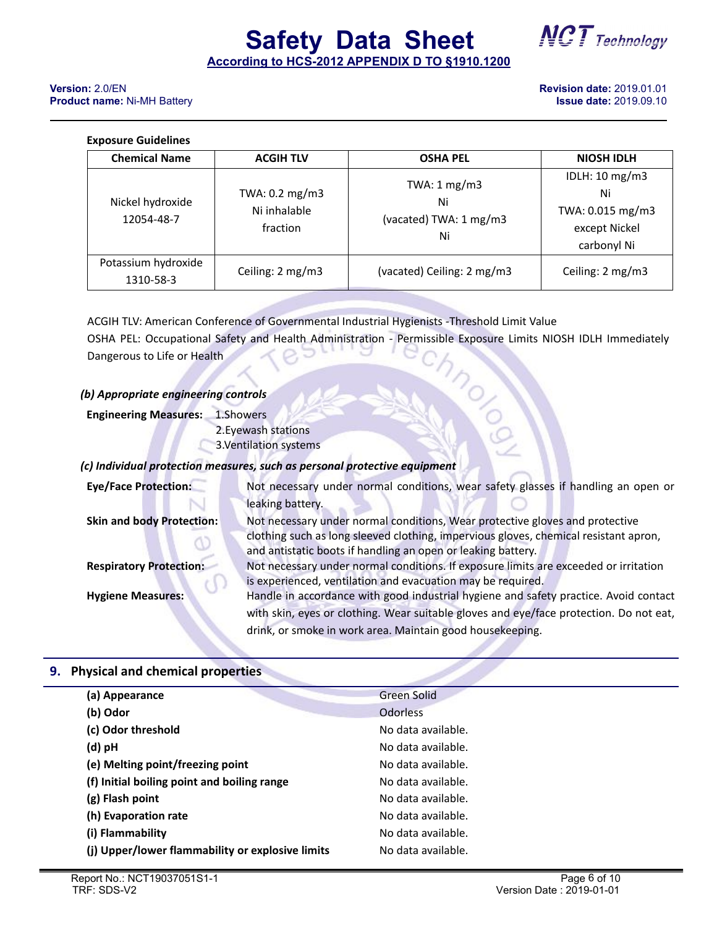**Safety Data Sheet NCT** Technology

#### **Exposure Guidelines**

| <b>Chemical Name</b>             | <b>ACGIH TLV</b>                           | <b>OSHA PEL</b>                                              | <b>NIOSH IDLH</b>                                                        |
|----------------------------------|--------------------------------------------|--------------------------------------------------------------|--------------------------------------------------------------------------|
| Nickel hydroxide<br>12054-48-7   | TWA: 0.2 mg/m3<br>Ni inhalable<br>fraction | TWA: $1 \text{ mg/m3}$<br>Ni<br>(vacated) TWA: 1 mg/m3<br>Ni | IDLH: 10 mg/m3<br>Ni<br>TWA: 0.015 mg/m3<br>except Nickel<br>carbonyl Ni |
| Potassium hydroxide<br>1310-58-3 | Ceiling: 2 mg/m3                           | (vacated) Ceiling: 2 mg/m3                                   | Ceiling: 2 mg/m3                                                         |

ACGIH TLV: American Conference of Governmental Industrial Hygienists -Threshold Limit Value OSHA PEL: Occupational Safety and Health Administration - Permissible Exposure Limits NIOSH IDLH Immediately<br>Dangerous to Life or Health<br>D) Appropriate engineering controls<br>Depending Measures: 1.Showers<br>Antarions Dangerous to Life or Health

#### *(b) Appropriate engineering controls*

**Engineering Measures:** 1.Showers

2.Eyewash stations

3.Ventilation systems

#### *(c) Individual protection measures, such as personal protective equipment*

| <b>Eye/Face Protection:</b>      | Not necessary under normal conditions, wear safety glasses if handling an open or      |
|----------------------------------|----------------------------------------------------------------------------------------|
|                                  | leaking battery.                                                                       |
| <b>Skin and body Protection:</b> | Not necessary under normal conditions, Wear protective gloves and protective           |
|                                  | clothing such as long sleeved clothing, impervious gloves, chemical resistant apron,   |
|                                  | and antistatic boots if handling an open or leaking battery.                           |
| <b>Respiratory Protection:</b>   | Not necessary under normal conditions. If exposure limits are exceeded or irritation   |
|                                  | is experienced, ventilation and evacuation may be required.                            |
| <b>Hygiene Measures:</b>         | Handle in accordance with good industrial hygiene and safety practice. Avoid contact   |
|                                  | with skin, eyes or clothing. Wear suitable gloves and eye/face protection. Do not eat, |
|                                  | drink, or smoke in work area. Maintain good housekeeping.                              |

#### **9. Physical and chemical properties**

| (a) Appearance                                   | <b>Green Solid</b> |
|--------------------------------------------------|--------------------|
| (b) Odor                                         | <b>Odorless</b>    |
| (c) Odor threshold                               | No data available. |
| (d) pH                                           | No data available. |
| (e) Melting point/freezing point                 | No data available. |
| (f) Initial boiling point and boiling range      | No data available. |
| (g) Flash point                                  | No data available. |
| (h) Evaporation rate                             | No data available. |
| (i) Flammability                                 | No data available. |
| (j) Upper/lower flammability or explosive limits | No data available. |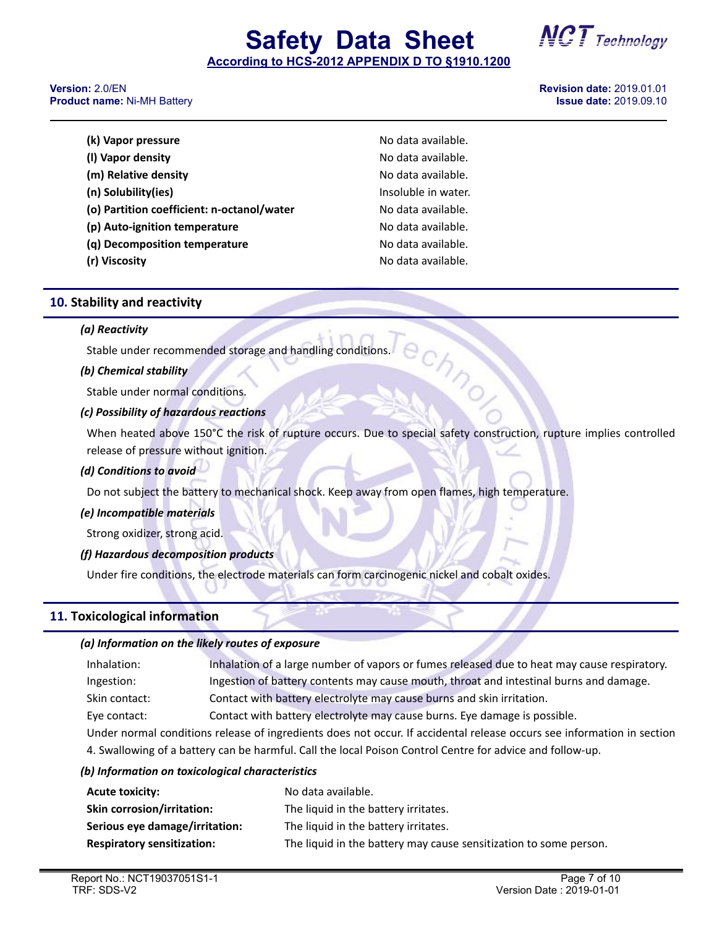## **Safety Data Sheet**

**(k) Vapor pressure** No data available. **(l) Vapor density** No data available. **(m) Relative density** No data available. **Insoluble in water. (o) Partition coefficient: n-octanol/water** No data available. **(p) Auto-ignition temperature** No data available. **(q) Decomposition temperature** No data available. **(r) Viscosity** No data available.

**According to HCS-2012 APPENDIX D TO §1910.1200**

#### **Version:** 2.0/EN **Revision date:** 2019.01.01 **Product name: Ni-MH Battery**

| (k) Vapor pressure                         |
|--------------------------------------------|
| (I) Vapor density                          |
| (m) Relative density                       |
| (n) Solubility(ies)                        |
| (o) Partition coefficient: n-octanol/water |
| (p) Auto-ignition temperature              |
| (q) Decomposition temperature              |
| (r) Viscosity                              |
|                                            |

## **10. Stability and reactivity**

#### *(a) Reactivity*

Stable under recommended storage and handling conditions.<br> **b) Chemical stability** 

#### *(b) Chemical stability*

Stable under normal conditions.

#### *(c) Possibility of hazardous reactions*

When heated above 150°C the risk of rupture occurs. Due to special safety construction, rupture implies controlled release of pressure without ignition.

#### *(d) Conditions to avoid*

Do not subject the battery to mechanical shock. Keep away from open flames, high temperature.

#### *(e) Incompatible materials*

Strong oxidizer, strong acid.

#### *(f) Hazardous decomposition products*

Under fire conditions, the electrode materials can form carcinogenic nickel and cobalt oxides.

#### **11. Toxicological information**

#### *(a) Information on the likely routes of exposure*

| Inhalation:                                                                                                                                                                                                                    | Inhalation of a large number of vapors or fumes released due to heat may cause respiratory. |  |
|--------------------------------------------------------------------------------------------------------------------------------------------------------------------------------------------------------------------------------|---------------------------------------------------------------------------------------------|--|
| Ingestion:                                                                                                                                                                                                                     | Ingestion of battery contents may cause mouth, throat and intestinal burns and damage.      |  |
| Skin contact:                                                                                                                                                                                                                  | Contact with battery electrolyte may cause burns and skin irritation.                       |  |
| Eye contact:                                                                                                                                                                                                                   | Contact with battery electrolyte may cause burns. Eye damage is possible.                   |  |
| . The decision of the control of the control of the control of the control of the control of the control of the control of the control of the control of the control of the control of the control of the control of the contr |                                                                                             |  |

Under normal conditions release of ingredients does not occur. If accidental release occurs see information in section 4. Swallowing of a battery can be harmful. Call the local Poison Control Centre for advice and follow-up.

#### *(b) Information on toxicological characteristics*

| <b>Acute toxicity:</b>            | No data available.                                                |
|-----------------------------------|-------------------------------------------------------------------|
| <b>Skin corrosion/irritation:</b> | The liquid in the battery irritates.                              |
| Serious eye damage/irritation:    | The liquid in the battery irritates.                              |
| <b>Respiratory sensitization:</b> | The liquid in the battery may cause sensitization to some person. |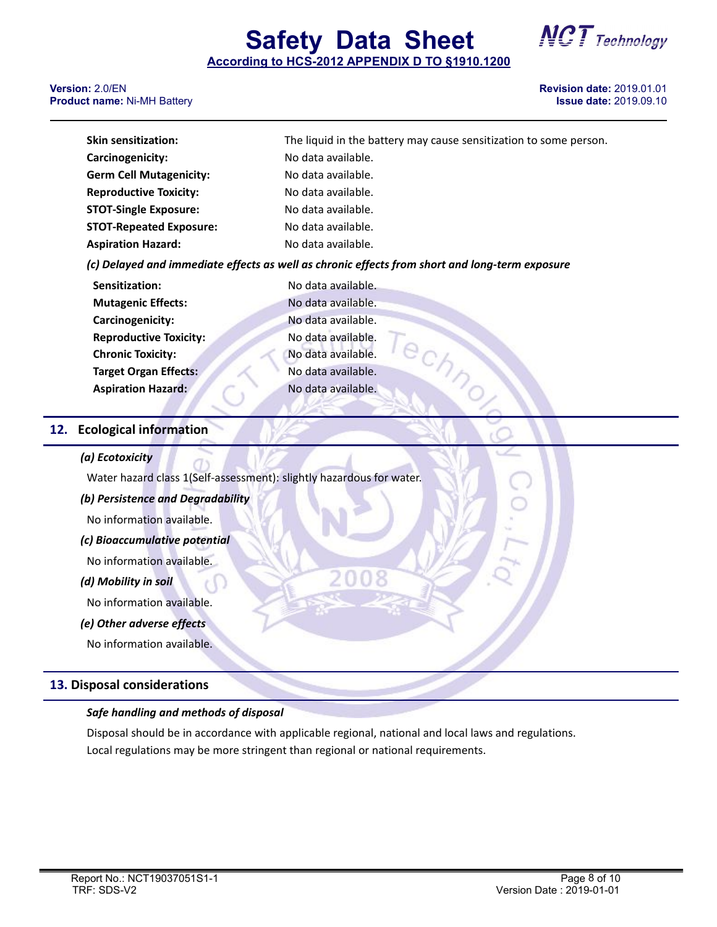**Safety Data Sheet**



#### **Version:** 2.0/EN **Revision date:** 2019.01.01 **Product name: Ni-MH Battery**

| <b>Skin sensitization:</b>                                                                     | The liquid in the battery may cause sensitization to some person. |  |
|------------------------------------------------------------------------------------------------|-------------------------------------------------------------------|--|
| Carcinogenicity:                                                                               | No data available.                                                |  |
| <b>Germ Cell Mutagenicity:</b>                                                                 | No data available.                                                |  |
| <b>Reproductive Toxicity:</b>                                                                  | No data available.                                                |  |
| <b>STOT-Single Exposure:</b>                                                                   | No data available.                                                |  |
| <b>STOT-Repeated Exposure:</b>                                                                 | No data available.                                                |  |
| <b>Aspiration Hazard:</b>                                                                      | No data available.                                                |  |
| (c) Delayed and immediate effects as well as chronic effects from short and long-term exposure |                                                                   |  |

| Sensitization:                | No data available. |
|-------------------------------|--------------------|
| <b>Mutagenic Effects:</b>     | No data available. |
| Carcinogenicity:              | No data available. |
| <b>Reproductive Toxicity:</b> | No data available. |
| <b>Chronic Toxicity:</b>      | No data available. |
| <b>Target Organ Effects:</b>  | No data available. |
| <b>Aspiration Hazard:</b>     | No data available. |
|                               |                    |

#### **12. Ecological information**

#### *(a) Ecotoxicity*

Water hazard class 1(Self-assessment): slightly hazardous for water.

*(b) Persistence and Degradability*

No information available.

*(c) Bioaccumulative potential*

No information available.

#### *(d) Mobility in soil*

No information available.

#### *(e) Other adverse effects*

No information available.

#### **13. Disposal considerations**

#### *Safe handling and methods of disposal*

Disposal should be in accordance with applicable regional, national and local laws and regulations. Local regulations may be more stringent than regional or national requirements.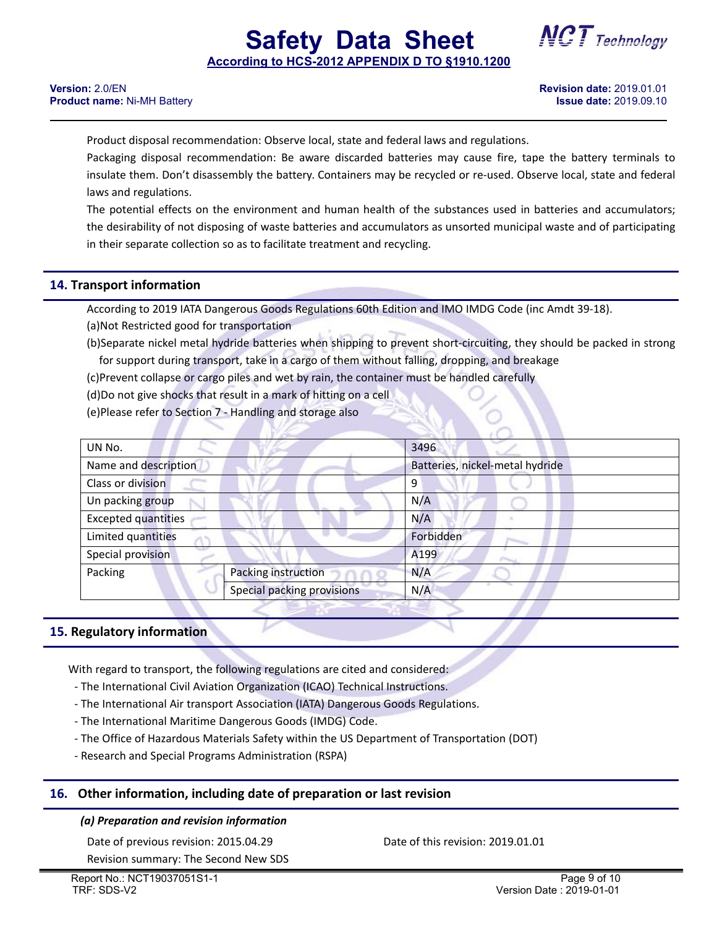**Safety Data Sheet**

Product disposal recommendation: Observe local, state and federal laws and regulations.

Packaging disposal recommendation: Be aware discarded batteries may cause fire, tape the battery terminals to insulate them. Don't disassembly the battery. Containers may be recycled or re-used. Observe local, state and federal laws and regulations.

The potential effects on the environment and human health of the substances used in batteries and accumulators; the desirability of not disposing of waste batteries and accumulators as unsorted municipal waste and of participating in their separate collection so as to facilitate treatment and recycling.

#### **14. Transport information**

According to 2019 IATA Dangerous Goods Regulations 60th Edition and IMO IMDG Code (inc Amdt 39-18).

(a)Not Restricted good for transportation

(b)Separate nickel metal hydride batteries when shipping to prevent short-circuiting, they should be packed in strong for support during transport, take in a cargo of them without falling, dropping, and breakage

(c)Prevent collapse or cargo piles and wet by rain, the container must be handled carefully

(d)Do not give shocks that result in a mark of hitting on a cell

(e)Please refer to Section 7 - Handling and storage also

| UN No.                     |                                 | 3496      |  |
|----------------------------|---------------------------------|-----------|--|
| Name and description       | Batteries, nickel-metal hydride |           |  |
| Class or division          |                                 | 9         |  |
| Un packing group           |                                 | N/A       |  |
| <b>Excepted quantities</b> |                                 | N/A       |  |
| Limited quantities         |                                 | Forbidden |  |
| Special provision          |                                 | A199      |  |
| Packing                    | Packing instruction             | N/A       |  |
|                            | Special packing provisions      | N/A       |  |

#### **15. Regulatory information**

With regard to transport, the following regulations are cited and considered:<br>- The International Civil Aviation Organization (ICAO) Technical Instructions.

- 
- The International Air transport Association (IATA) Dangerous Goods Regulations.
- The International Maritime Dangerous Goods (IMDG) Code.
- The Office of Hazardous Materials Safety within the US Department of Transportation (DOT)
- Research and Special Programs Administration (RSPA)

#### **16. Other information, including date of preparation or last revision**

#### *(a) Preparation and revision information*

Date of previous revision: 2015.04.29 Date of this revision: 2019.01.01

Revision summary: The Second New SDS

Version [Date](file:///C:/Users/Administrator/AppData/Local/youdao/dict/Application/7.5.0.0/resultui/dict/?keyword=date) : 2019-01-01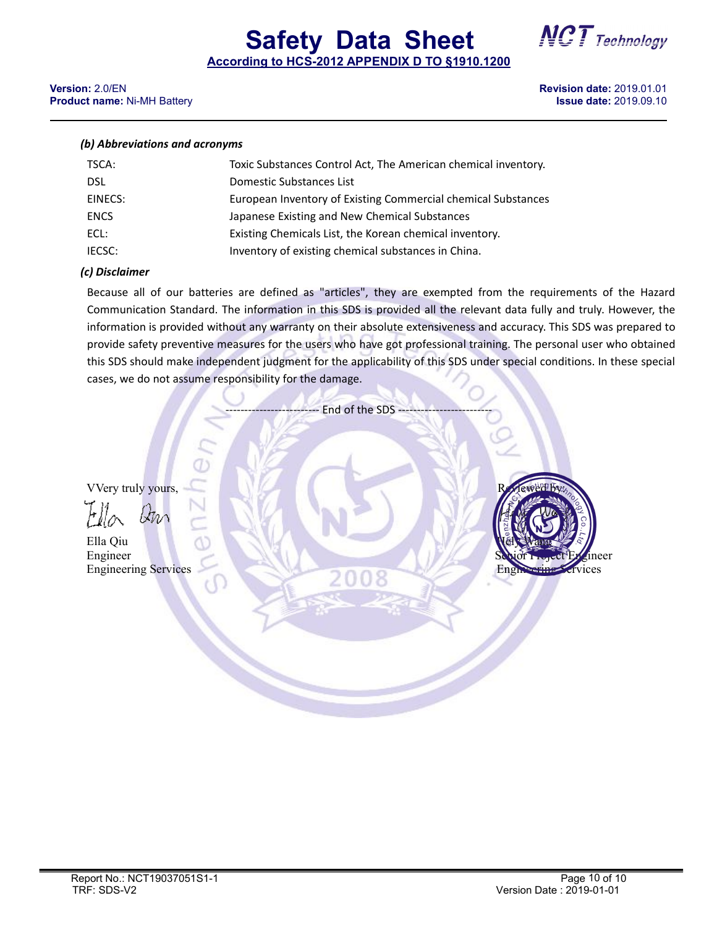# **Safety Data Sheet NCT** Technology



**According to HCS-2012 APPENDIX D TO §1910.1200**

#### **Version:** 2.0/EN **Revision date:** 2019.01.01 **Product name: Ni-MH Battery**

#### *(b) Abbreviations and acronyms*

| TSCA:       | Toxic Substances Control Act, The American chemical inventory. |
|-------------|----------------------------------------------------------------|
| <b>DSL</b>  | Domestic Substances List                                       |
| EINECS:     | European Inventory of Existing Commercial chemical Substances  |
| <b>ENCS</b> | Japanese Existing and New Chemical Substances                  |
| ECL:        | Existing Chemicals List, the Korean chemical inventory.        |
| IECSC:      | Inventory of existing chemical substances in China.            |

#### *(c) Disclaimer*

Because all of our batteries are defined as "articles", they are exempted from the requirementsof the Hazard Communication Standard. The information in this SDS is provided all the relevant data fully and truly. However, the information is provided without any warranty on their absolute extensiveness and accuracy. This SDS was prepared to provide safety preventive measures for the users who have got professional training. The personal user who obtained this SDS should make independent judgment for the applicability of this SDS under special conditions. In these special cases, we do not assume responsibility for the damage.

End of the SDS

VVery truly yours,

 $\lambda$ *Inn* 

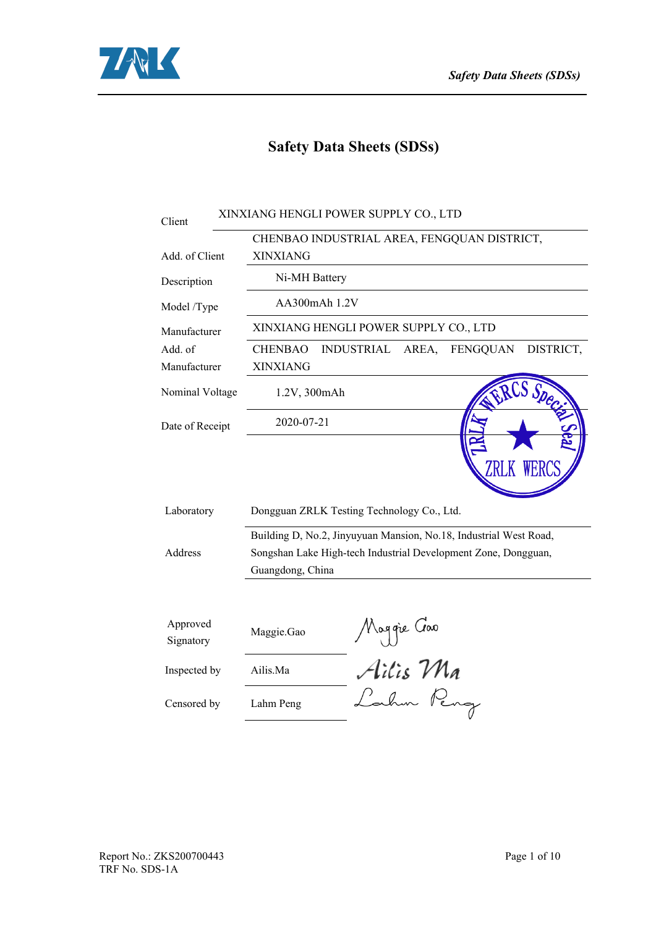

## **Safety Data Sheets (SDSs)**

| Client                | XINXIANG HENGLI POWER SUPPLY CO., LTD                                                                                                                   |  |  |  |  |  |
|-----------------------|---------------------------------------------------------------------------------------------------------------------------------------------------------|--|--|--|--|--|
|                       | CHENBAO INDUSTRIAL AREA, FENGQUAN DISTRICT,                                                                                                             |  |  |  |  |  |
| Add. of Client        | <b>XINXIANG</b>                                                                                                                                         |  |  |  |  |  |
| Description           | Ni-MH Battery                                                                                                                                           |  |  |  |  |  |
| Model /Type           | AA300mAh 1.2V                                                                                                                                           |  |  |  |  |  |
| Manufacturer          | XINXIANG HENGLI POWER SUPPLY CO., LTD                                                                                                                   |  |  |  |  |  |
| Add. of               | DISTRICT,<br><b>CHENBAO</b><br><b>INDUSTRIAL</b><br>FENGQUAN<br>AREA,                                                                                   |  |  |  |  |  |
| Manufacturer          | <b>XINXIANG</b>                                                                                                                                         |  |  |  |  |  |
| Nominal Voltage       | 1.2V, 300mAh                                                                                                                                            |  |  |  |  |  |
| Date of Receipt       | 2020-07-21                                                                                                                                              |  |  |  |  |  |
| Laboratory            | Dongguan ZRLK Testing Technology Co., Ltd.                                                                                                              |  |  |  |  |  |
| Address               | Building D, No.2, Jinyuyuan Mansion, No.18, Industrial West Road,<br>Songshan Lake High-tech Industrial Development Zone, Dongguan,<br>Guangdong, China |  |  |  |  |  |
| Approved<br>Signatory | Moggie Goo<br>Ailis Ma<br>Lahm Peng<br>Maggie.Gao                                                                                                       |  |  |  |  |  |
| Inspected by          | Ailis.Ma                                                                                                                                                |  |  |  |  |  |
| Censored by           | Lahm Peng                                                                                                                                               |  |  |  |  |  |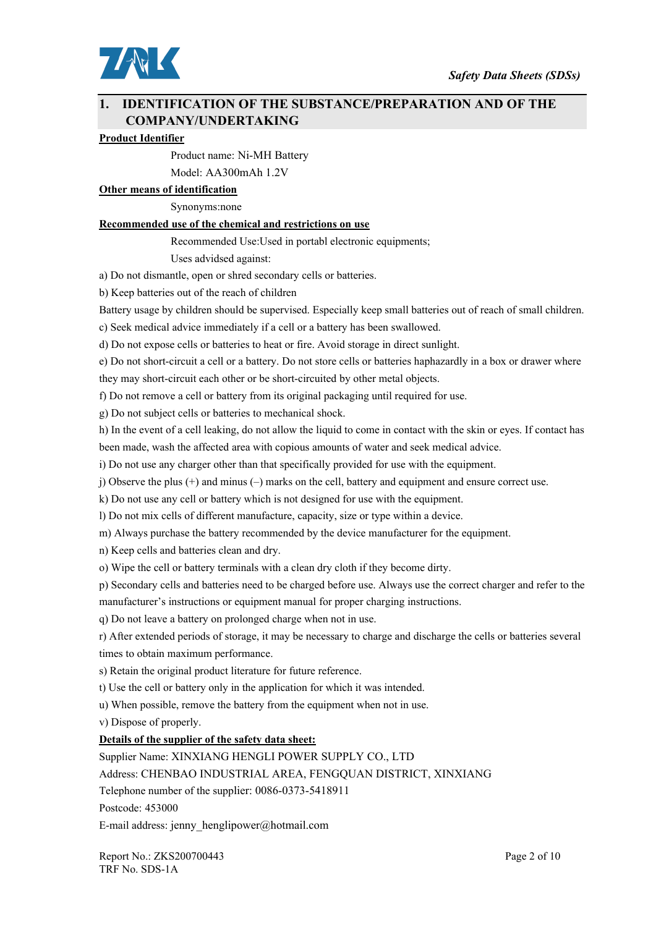

#### **1. IDENTIFICATION OF THE SUBSTANCE/PREPARATION AND OF THE COMPANY/UNDERTAKING**

#### **Product Identifier**

Product name: Ni-MH Battery

Model: AA300mAh 1.2V

**Other means of identification**

Synonyms:none

#### **Recommended use of the chemical and restrictions on use**

Recommended Use:Used in portabl electronic equipments;

Uses advidsed against:

a) Do not dismantle, open or shred secondary cells or batteries.

b) Keep batteries out of the reach of children

Battery usage by children should be supervised. Especially keep small batteries out of reach of small children.

c) Seek medical advice immediately if a cell or a battery has been swallowed.

d) Do not expose cells or batteries to heat or fire. Avoid storage in direct sunlight.

e) Do not short-circuit a cell or a battery. Do not store cells or batteries haphazardly in a box or drawer where they may short-circuit each other or be short-circuited by other metal objects.

f) Do not remove a cell or battery from its original packaging until required for use.

g) Do not subject cells or batteries to mechanical shock.

h) In the event of a cell leaking, do not allow the liquid to come in contact with the skin or eyes. If contact has been made, wash the affected area with copious amounts of water and seek medical advice.

i) Do not use any charger other than that specifically provided for use with the equipment.

j) Observe the plus (+) and minus (–) marks on the cell, battery and equipment and ensure correct use.

k) Do not use any cell or battery which is not designed for use with the equipment.

l) Do not mix cells of different manufacture, capacity, size or type within a device.

m) Always purchase the battery recommended by the device manufacturer for the equipment.

n) Keep cells and batteries clean and dry.

o) Wipe the cell or battery terminals with a clean dry cloth if they become dirty.

p) Secondary cells and batteries need to be charged before use. Always use the correct charger and refer to the

manufacturer's instructions or equipment manual for proper charging instructions.

q) Do not leave a battery on prolonged charge when not in use.

r) After extended periods of storage, it may be necessary to charge and discharge the cells or batteries several times to obtain maximum performance.

s) Retain the original product literature for future reference.

t) Use the cell or battery only in the application for which it was intended.

u) When possible, remove the battery from the equipment when not in use.

v) Dispose of properly.

#### **Details of the supplier of the safety data sheet:**

Supplier Name: XINXIANG HENGLI POWER SUPPLY CO., LTD

Address: CHENBAO INDUSTRIAL AREA, FENGQUAN DISTRICT, XINXIANG

Telephone number of the supplier: 0086-0373-5418911

Postcode: 453000

E-mail address: jenny\_henglipower@hotmail.com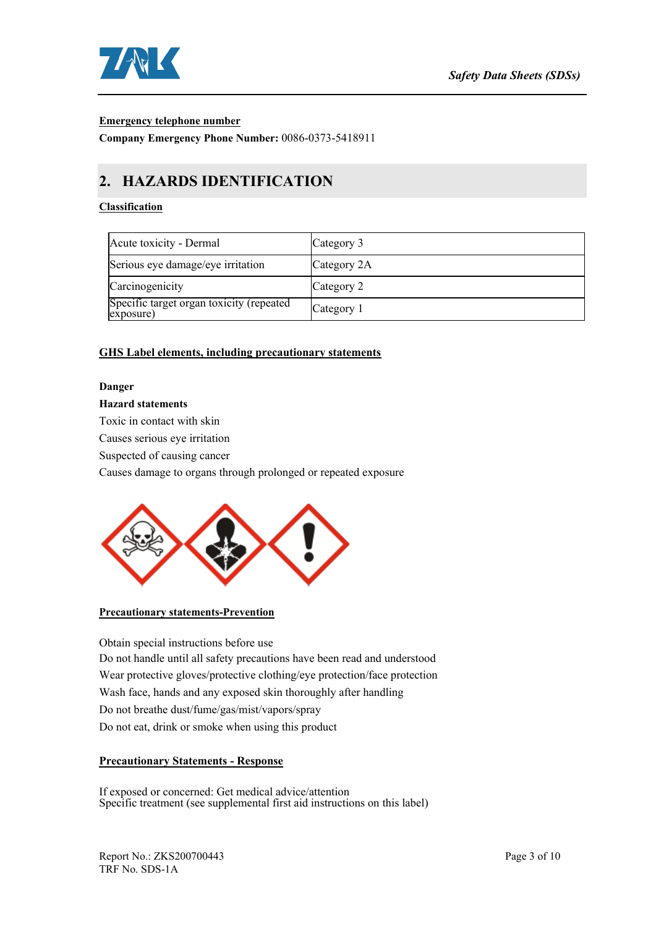

#### **Emergency telephone number**

**Company Emergency Phone Number:** 0086-0373-5418911

## **2. HAZARDS IDENTIFICATION**

#### **Classification**

| Acute toxicity - Dermal                               | Category 3  |
|-------------------------------------------------------|-------------|
| Serious eye damage/eye irritation                     | Category 2A |
| Carcinogenicity                                       | Category 2  |
| Specific target organ toxicity (repeated<br>exposure) | Category 1  |

#### **GHS Label elements, including precautionary statements**

#### **Danger**

#### **Hazard statements**

Toxic in contact with skin

Causes serious eye irritation

Suspected of causing cancer

Causes damage to organs through prolonged or repeated exposure



#### **Precautionary statements-Prevention**

Obtain special instructions before use Do not handle until all safety precautions have been read and understood Wear protective gloves/protective clothing/eye protection/face protection Wash face, hands and any exposed skin thoroughly after handling Do not breathe dust/fume/gas/mist/vapors/spray Do not eat, drink or smoke when using this product

#### **Precautionary Statements - Response**

If exposed or concerned: Get medical advice/attention Specific treatment (see supplemental first aid instructions on this label)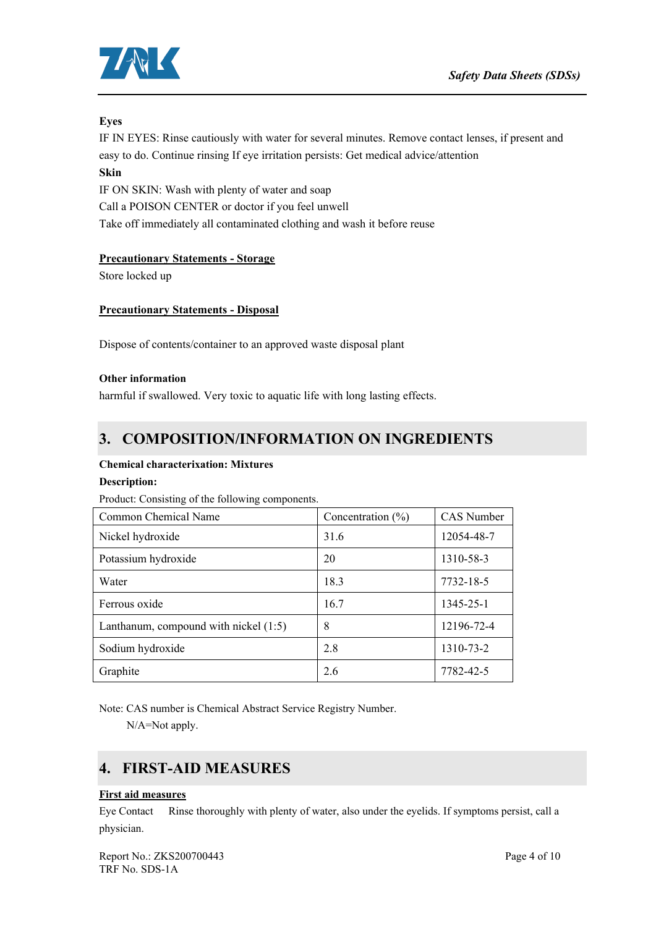

#### **Eyes**

IF IN EYES: Rinse cautiously with water for several minutes. Remove contact lenses, if present and easy to do. Continue rinsing If eye irritation persists: Get medical advice/attention

#### **Skin**

IF ON SKIN: Wash with plenty of water and soap Call a POISON CENTER or doctor if you feel unwell Take off immediately all contaminated clothing and wash it before reuse

#### **Precautionary Statements - Storage**

Store locked up

#### **Precautionary Statements - Disposal**

Dispose of contents/container to an approved waste disposal plant

#### **Other information**

harmful if swallowed. Very toxic to aquatic life with long lasting effects.

## **3. COMPOSITION/INFORMATION ON INGREDIENTS**

#### **Chemical characterixation: Mixtures**

#### **Description:**

Product: Consisting of the following components.

| Common Chemical Name                    | Concentration $(\% )$ | CAS Number |
|-----------------------------------------|-----------------------|------------|
| Nickel hydroxide                        | 31.6                  | 12054-48-7 |
| Potassium hydroxide                     | 20                    | 1310-58-3  |
| Water                                   | 18.3                  | 7732-18-5  |
| Ferrous oxide                           | 16.7                  | 1345-25-1  |
| Lanthanum, compound with nickel $(1:5)$ | 8                     | 12196-72-4 |
| Sodium hydroxide                        | 2.8                   | 1310-73-2  |
| Graphite                                | 2.6                   | 7782-42-5  |

Note: CAS number is Chemical Abstract Service Registry Number.

N/A=Not apply.

## **4. FIRST-AID MEASURES**

#### **First aid measures**

Eye Contact Rinse thoroughly with plenty of water, also under the eyelids. If symptoms persist, call a physician.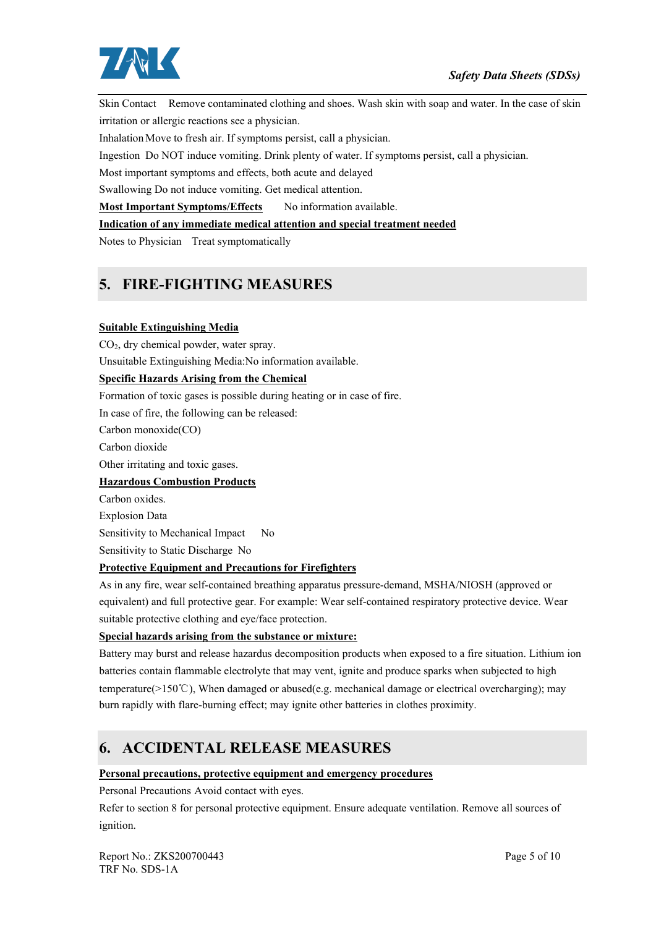

Skin Contact Remove contaminated clothing and shoes. Wash skin with soap and water. In the case of skin irritation or allergic reactions see a physician.

Inhalation Move to fresh air. If symptoms persist, call a physician.

Ingestion Do NOT induce vomiting. Drink plenty of water. If symptoms persist, call a physician.

Most important symptoms and effects, both acute and delayed

Swallowing Do not induce vomiting. Get medical attention.

**Most Important Symptoms/Effects** No information available.

**Indication of any immediate medical attention and special treatment needed**

Notes to Physician Treat symptomatically

## **5. FIRE-FIGHTING MEASURES**

#### **Suitable Extinguishing Media**

CO<sub>2</sub>, dry chemical powder, water spray. Unsuitable Extinguishing Media:No information available.

#### **Specific Hazards Arising from the Chemical**

Formation of toxic gases is possible during heating or in case of fire.

In case of fire, the following can be released:

Carbon monoxide(CO)

Carbon dioxide

Other irritating and toxic gases.

#### **Hazardous Combustion Products**

Carbon oxides. Explosion Data Sensitivity to Mechanical Impact No

Sensitivity to Static Discharge No

#### **Protective Equipment and Precautions for Firefighters**

As in any fire, wear self-contained breathing apparatus pressure-demand, MSHA/NIOSH (approved or equivalent) and full protective gear. For example: Wear self-contained respiratory protective device. Wear suitable protective clothing and eye/face protection.

#### **Special hazards arising from the substance or mixture:**

Battery may burst and release hazardus decomposition products when exposed to a fire situation. Lithium ion batteries contain flammable electrolyte that may vent, ignite and produce sparks when subjected to high temperature( $>150^{\circ}$ C), When damaged or abused(e.g. mechanical damage or electrical overcharging); may burn rapidly with flare-burning effect; may ignite other batteries in clothes proximity.

## **6. ACCIDENTAL RELEASE MEASURES**

#### **Personal precautions, protective equipment and emergency procedures**

Personal Precautions Avoid contact with eyes.

Refer to section 8 for personal protective equipment. Ensure adequate ventilation. Remove all sources of ignition.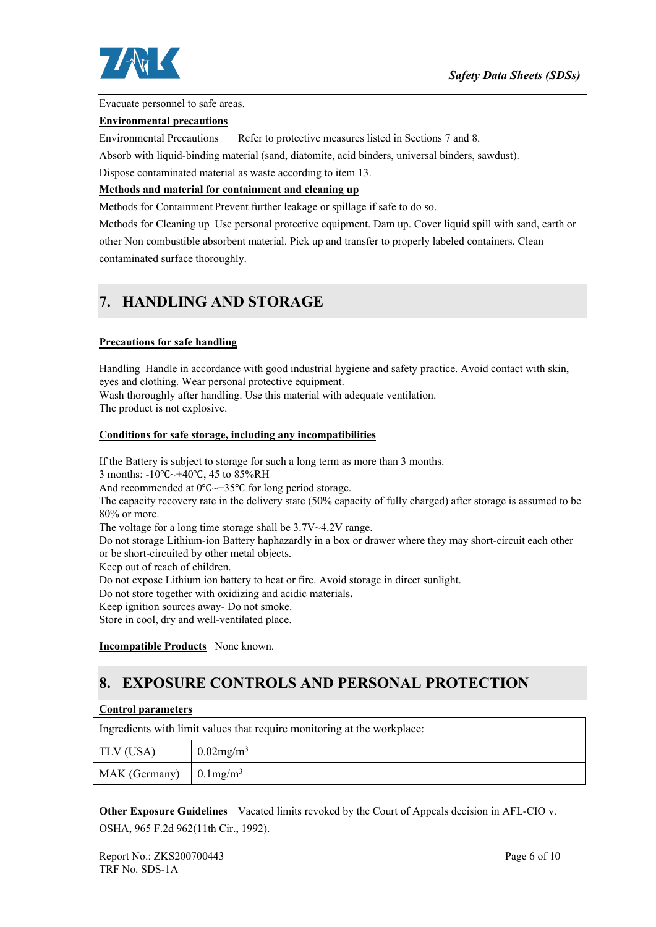

Evacuate personnel to safe areas.

#### **Environmental precautions**

Environmental Precautions Refer to protective measures listed in Sections 7 and 8.

Absorb with liquid-binding material (sand, diatomite, acid binders, universal binders, sawdust).

Dispose contaminated material as waste according to item 13.

#### **Methods and material for containment and cleaning up**

Methods for Containment Prevent further leakage or spillage if safe to do so.

Methods for Cleaning up Use personal protective equipment. Dam up. Cover liquid spill with sand, earth or other Non combustible absorbent material. Pick up and transfer to properly labeled containers. Clean contaminated surface thoroughly.

### **7. HANDLING AND STORAGE**

#### **Precautions for safe handling**

Handling Handle in accordance with good industrial hygiene and safety practice. Avoid contact with skin, eyes and clothing. Wear personal protective equipment. Wash thoroughly after handling. Use this material with adequate ventilation.

The product is not explosive.

#### **Conditions for safe storage, including any incompatibilities**

If the Battery is subject to storage for such a long term as more than 3 months. 3 months: -10℃~+40℃, 45 to 85%RH And recommended at 0℃~+35℃ for long period storage. The capacity recovery rate in the delivery state (50% capacity of fully charged) after storage is assumed to be 80% or more. The voltage for a long time storage shall be 3.7V~4.2V range. Do not storage Lithium-ion Battery haphazardly in a box or drawer where they may short-circuit each other or be short-circuited by other metal objects. Keep out of reach of children. Do not expose Lithium ion battery to heat or fire. Avoid storage in direct sunlight. Do not store together with oxidizing and acidic materials**.** Keep ignition sources away- Do not smoke. Store in cool, dry and well-ventilated place.

**Incompatible Products** None known.

## **8. EXPOSURE CONTROLS AND PERSONAL PROTECTION**

#### **Control parameters**

| Ingredients with limit values that require monitoring at the workplace: |                          |  |
|-------------------------------------------------------------------------|--------------------------|--|
| TLV (USA)                                                               | $0.02$ mg/m <sup>3</sup> |  |
| MAK (Germany) $\int 0.1 \text{mg/m}^3$                                  |                          |  |

**Other Exposure Guidelines** Vacated limits revoked by the Court of Appeals decision in AFL-CIO v. OSHA, 965 F.2d 962(11th Cir., 1992).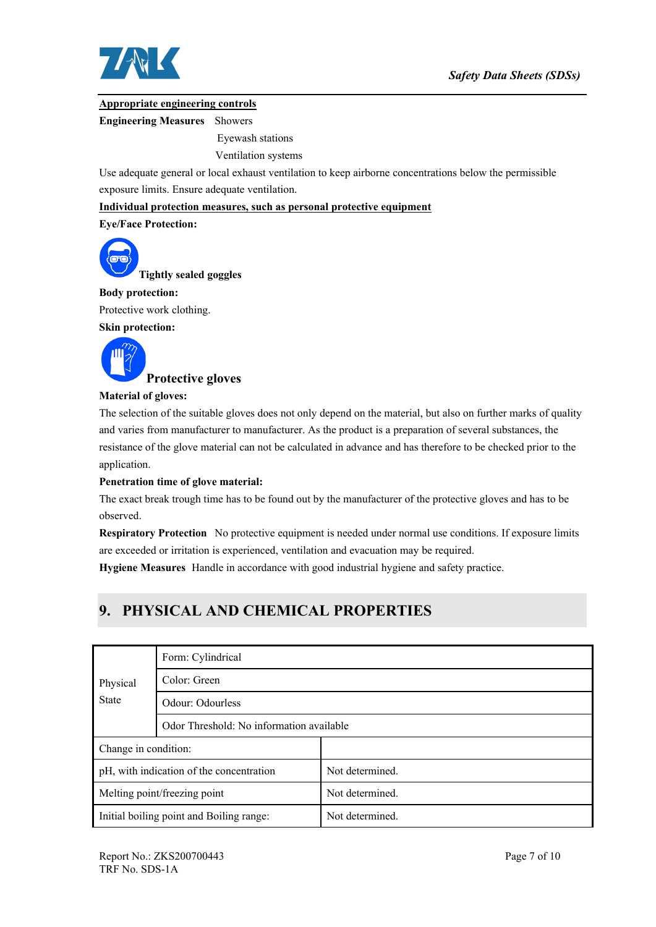

#### **Appropriate engineering controls**

**Engineering Measures** Showers

Eyewash stations

Ventilation systems

Use adequate general or local exhaust ventilation to keep airborne concentrations below the permissible exposure limits. Ensure adequate ventilation.

**Individual protection measures, such as personal protective equipment**

#### **Eye/Face Protection:**



**Tightly sealed goggles**

#### **Body protection:**

Protective work clothing.

**Skin protection:**



#### **Material of gloves:**

The selection of the suitable gloves does not only depend on the material, but also on further marks of quality and varies from manufacturer to manufacturer. As the product is a preparation of several substances, the resistance of the glove material can not be calculated in advance and has therefore to be checked prior to the application.

#### **Penetration time of glove material:**

The exact break trough time has to be found out by the manufacturer of the protective gloves and has to be observed.

**Respiratory Protection** No protective equipment is needed under normal use conditions. If exposure limits are exceeded or irritation is experienced, ventilation and evacuation may be required.

**Hygiene Measures** Handle in accordance with good industrial hygiene and safety practice.

## **9. PHYSICAL AND CHEMICAL PROPERTIES**

|                                          | Form: Cylindrical                        |                 |  |  |
|------------------------------------------|------------------------------------------|-----------------|--|--|
| Physical<br><b>State</b>                 | Color: Green                             |                 |  |  |
|                                          | Odour: Odourless                         |                 |  |  |
|                                          | Odor Threshold: No information available |                 |  |  |
| Change in condition:                     |                                          |                 |  |  |
| pH, with indication of the concentration |                                          | Not determined. |  |  |
| Melting point/freezing point             |                                          | Not determined. |  |  |
| Initial boiling point and Boiling range: |                                          | Not determined. |  |  |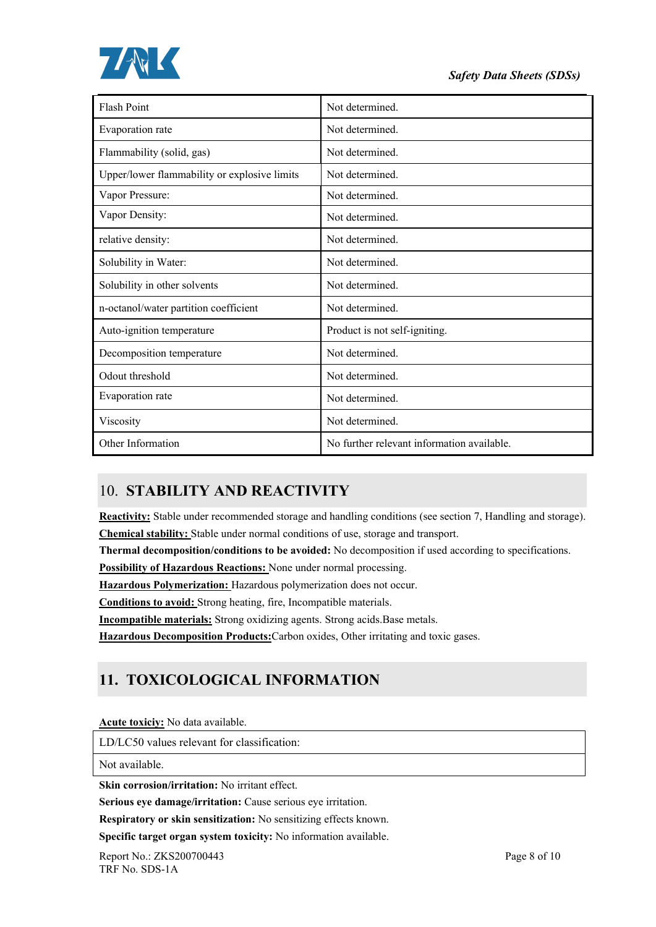



| Flash Point                                  | Not determined.                            |
|----------------------------------------------|--------------------------------------------|
| Evaporation rate                             | Not determined.                            |
| Flammability (solid, gas)                    | Not determined.                            |
| Upper/lower flammability or explosive limits | Not determined.                            |
| Vapor Pressure:                              | Not determined.                            |
| Vapor Density:                               | Not determined.                            |
| relative density:                            | Not determined.                            |
| Solubility in Water:                         | Not determined.                            |
| Solubility in other solvents                 | Not determined.                            |
| n-octanol/water partition coefficient        | Not determined.                            |
| Auto-ignition temperature                    | Product is not self-igniting.              |
| Decomposition temperature                    | Not determined.                            |
| Odout threshold                              | Not determined.                            |
| Evaporation rate                             | Not determined.                            |
| Viscosity                                    | Not determined.                            |
| Other Information                            | No further relevant information available. |

## 10. **STABILITY AND REACTIVITY**

**Reactivity:** Stable under recommended storage and handling conditions (see section 7, Handling and storage). **Chemical stability:** Stable under normal conditions of use, storage and transport.

**Thermal decomposition/conditions to be avoided:** No decomposition if used according to specifications.

**Possibility of Hazardous Reactions:** None under normal processing.

**Hazardous Polymerization:** Hazardous polymerization does not occur.

**Conditions to avoid:** Strong heating, fire, Incompatible materials.

**Incompatible materials:** Strong oxidizing agents. Strong acids.Base metals.

**Hazardous Decomposition Products:**Carbon oxides, Other irritating and toxic gases.

## **11. TOXICOLOGICAL INFORMATION**

**Acute toxiciy:** No data available.

LD/LC50 values relevant for classification:

Not available.

**Skin corrosion/irritation:** No irritant effect.

**Serious eye damage/irritation:** Cause serious eye irritation.

**Respiratory or skin sensitization:** No sensitizing effects known.

**Specific target organ system toxicity:** No information available.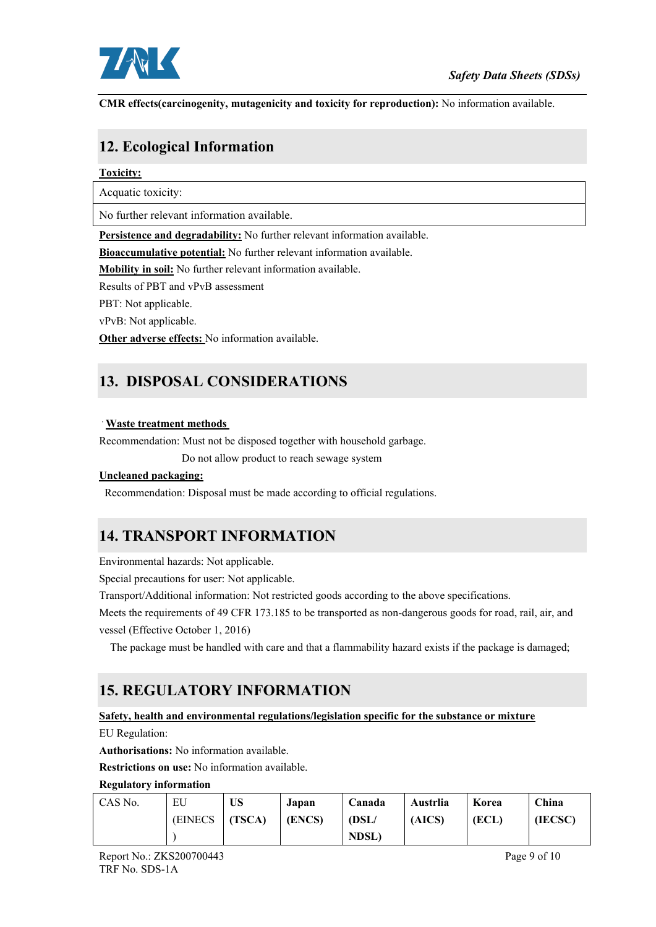

**CMR effects(carcinogenity, mutagenicity and toxicity for reproduction):** No information available.

## **12. Ecological Information**

#### **Toxicity:**

Acquatic toxicity:

No further relevant information available.

**Persistence and degradability:** No further relevant information available.

**Bioaccumulative potential:** No further relevant information available.

**Mobility in soil:** No further relevant information available.

Results of PBT and vPvB assessment

PBT: Not applicable.

vPvB: Not applicable.

**Other adverse effects:** No information available.

## **13. DISPOSAL CONSIDERATIONS**

#### **Waste treatment methods**

Recommendation: Must not be disposed together with household garbage.

Do not allow product to reach sewage system

#### **Uncleaned packaging:**

Recommendation: Disposal must be made according to official regulations.

## **14. TRANSPORT INFORMATION**

Environmental hazards: Not applicable.

Special precautions for user: Not applicable.

Transport/Additional information: Not restricted goods according to the above specifications.

Meets the requirements of 49 CFR 173.185 to be transported as non-dangerous goods for road, rail, air, and vessel (Effective October 1, 2016)

The package must be handled with care and that a flammability hazard exists if the package is damaged;

## **15. REGULATORY INFORMATION**

#### **Safety, health and environmental regulations/legislation specific for the substance or mixture**

EU Regulation:

**Authorisations:** No information available.

**Restrictions on use:** No information available.

#### **Regulatory information**

| CAS No. | EU       | US     | Japan  | Canada      | Austrlia | Korea | China   |
|---------|----------|--------|--------|-------------|----------|-------|---------|
|         | (EINECS) | (TSCA) | (ENCS) | (DSL/       | (AICS)   | (ECL) | (IECSC) |
|         |          |        |        | <b>NDSL</b> |          |       |         |